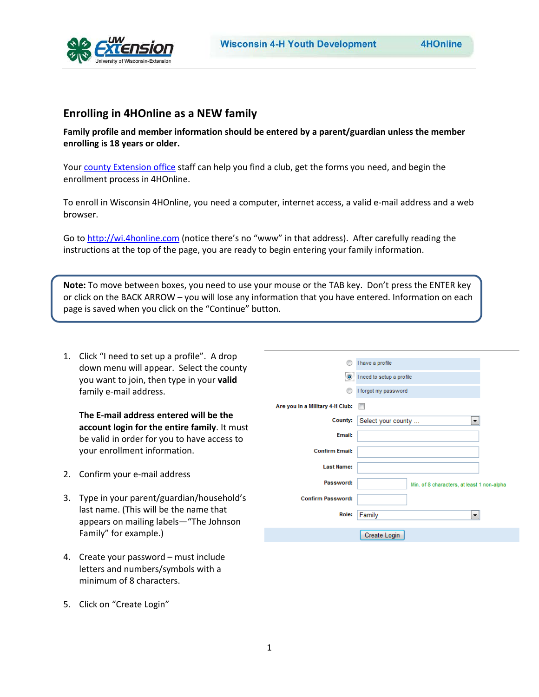

# **Enrolling in 4HOnline as a NEW family**

**Family profile and member information should be entered by a parent/guardian unless the member enrolling is 18 years or older.**

Your [county Extension office](http://www.uwex.edu/ces/cty/) staff can help you find a club, get the forms you need, and begin the enrollment process in 4HOnline.

To enroll in Wisconsin 4HOnline, you need a computer, internet access, a valid e-mail address and a web browser.

Go to [http://wi.4honline.com](http://wi.4honline.com/) (notice there's no "www" in that address). After carefully reading the instructions at the top of the page, you are ready to begin entering your family information.

**Note:** To move between boxes, you need to use your mouse or the TAB key. Don't press the ENTER key or click on the BACK ARROW – you will lose any information that you have entered. Information on each page is saved when you click on the "Continue" button.

1. Click "I need to set up a profile". A drop down menu will appear. Select the county you want to join, then type in your **valid** family e-mail address.

**The E-mail address entered will be the account login for the entire family**. It must be valid in order for you to have access to your enrollment information.

- 2. Confirm your e-mail address
- 3. Type in your parent/guardian/household's last name. (This will be the name that appears on mailing labels—"The Johnson Family" for example.)
- 4. Create your password must include letters and numbers/symbols with a minimum of 8 characters.

5. Click on "Create Login"

|                                 | I have a profile                           |  |
|---------------------------------|--------------------------------------------|--|
|                                 | Ineed to setup a profile                   |  |
| ⋒                               | I forgot my password                       |  |
| Are you in a Military 4-H Club: |                                            |  |
| <b>County:</b>                  | Select your county<br>▼                    |  |
| <b>Email:</b>                   |                                            |  |
| <b>Confirm Email:</b>           |                                            |  |
| <b>Last Name:</b>               |                                            |  |
| Password:                       | Min. of 8 characters, at least 1 non-alpha |  |
| <b>Confirm Password:</b>        |                                            |  |
| Role:                           | Family<br>▼                                |  |
|                                 | Create Login                               |  |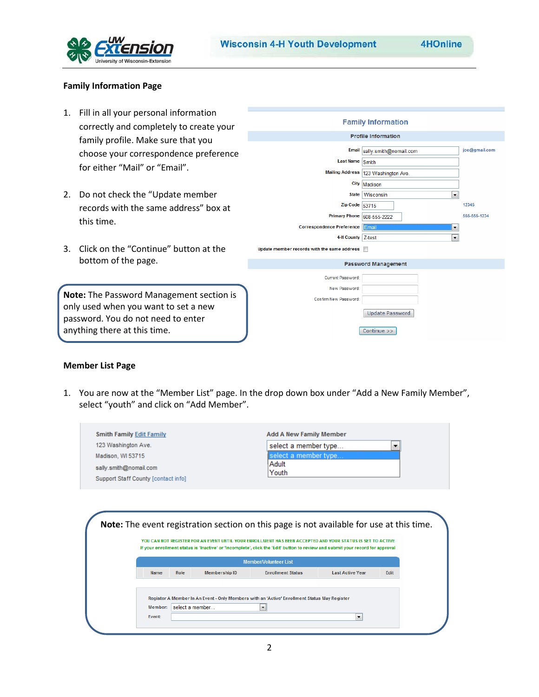

joe@gmail.com

 $\boxed{\blacksquare}$ 

 $\overline{\phantom{a}}$ 

Continue >>

12345

555-555-1234

# **Family Information Page**

1. Fill in all your personal information **Family Information** correctly and completely to create your **Profile Information** family profile. Make sure that you Email sally.smith@nomail.com choose your correspondence preference Last Name Smith for either "Mail" or "Email". Mailing Address 123 Washington Ave. City Madison 2. Do not check the "Update member State Wisconsin Zip Code  $53715$ records with the same address" box at Primary Phone 608-555-2222 this time. Correspondence Preference 4-H County Z-test 3. Click on the "Continue" button at the Update member records with the same address **T** bottom of the page. **Password Management** Current Password: New Password: **Note:** The Password Management section is Confirm New Password: only used when you want to set a new Update Password password. You do not need to enter

#### **Member List Page**

anything there at this time.

1. You are now at the "Member List" page. In the drop down box under "Add a New Family Member", select "youth" and click on "Add Member".

| 123 Washington Ave.                 |      |                      |                                                                                                                                                                                                                                              | select a member type<br>▼ |      |  |  |
|-------------------------------------|------|----------------------|----------------------------------------------------------------------------------------------------------------------------------------------------------------------------------------------------------------------------------------------|---------------------------|------|--|--|
| Madison, WI 53715                   |      |                      | select a member type                                                                                                                                                                                                                         |                           |      |  |  |
| sally.smith@nomail.com              |      |                      | Adult                                                                                                                                                                                                                                        |                           |      |  |  |
| Support Staff County [contact info] |      |                      | Youth                                                                                                                                                                                                                                        |                           |      |  |  |
|                                     |      |                      |                                                                                                                                                                                                                                              |                           |      |  |  |
|                                     |      |                      | Note: The event registration section on this page is not available for use at this time.                                                                                                                                                     |                           |      |  |  |
|                                     |      |                      | YOU CAN NOT REGISTER FOR AN EVENT UNTIL YOUR ENROLLMENT HAS BEEN ACCEPTED AND YOUR STATUS IS SET TO ACTIVE<br>If your enrollment status is 'Inactive' or 'Incomplete', click the 'Edit' button to review and submit your record for approval |                           |      |  |  |
|                                     |      |                      | <b>Member/Volunteer List</b>                                                                                                                                                                                                                 |                           |      |  |  |
| <b>Name</b>                         | Role | <b>Membership ID</b> | <b>Enrollment Status</b>                                                                                                                                                                                                                     | <b>Last Active Year</b>   | Edit |  |  |
|                                     |      |                      |                                                                                                                                                                                                                                              |                           |      |  |  |
|                                     |      |                      | Register A Member In An Event - Only Members with an 'Active' Enrollment Status May Register                                                                                                                                                 |                           |      |  |  |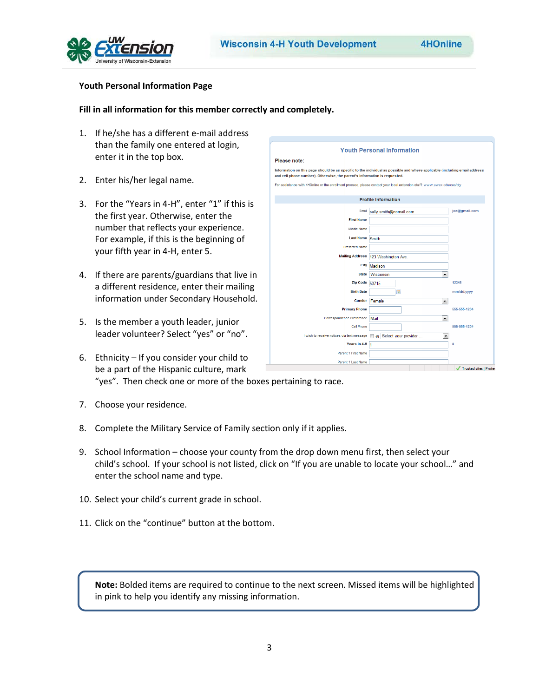

# **Youth Personal Information Page**

### **Fill in all information for this member correctly and completely.**

- 1. If he/she has a different e-mail address than the family one entered at login, enter it in the top box.
- 2. Enter his/her legal name.
- 3. For the "Years in 4-H", enter "1" if this is the first year. Otherwise, enter the number that reflects your experience. For example, if this is the beginning of your fifth year in 4-H, enter 5.
- 4. If there are parents/guardians that live in a different residence, enter their mailing information under Secondary Household.
- 5. Is the member a youth leader, junior leader volunteer? Select "yes" or "no".
- 6. Ethnicity If you consider your child to be a part of the Hispanic culture, mark "yes". Then check one or more of the boxes pertaining to race.
- 7. Choose your residence.
- 8. Complete the Military Service of Family section only if it applies.
- 9. School Information choose your county from the drop down menu first, then select your child's school. If your school is not listed, click on "If you are unable to locate your school…" and enter the school name and type.
- 10. Select your child's current grade in school.
- 11. Click on the "continue" button at the bottom.

**Note:** Bolded items are required to continue to the next screen. Missed items will be highlighted in pink to help you identify any missing information.

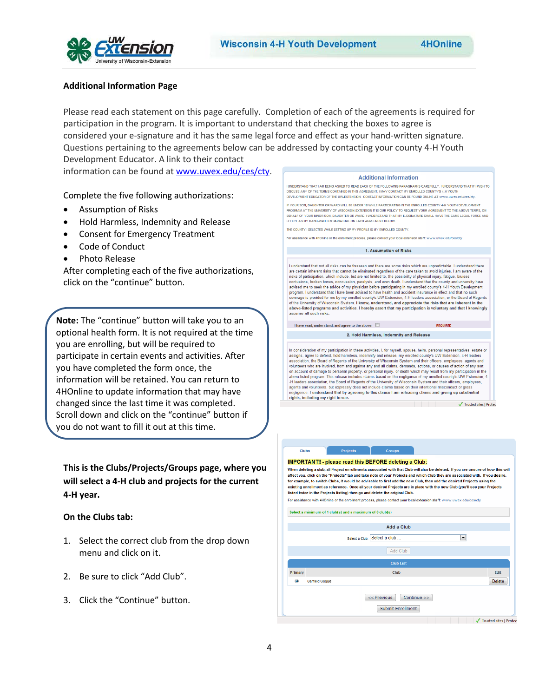

# **Additional Information Page**

Please read each statement on this page carefully. Completion of each of the agreements is required for participation in the program. It is important to understand that checking the boxes to agree is considered your e-signature and it has the same legal force and effect as your hand-written signature. Questions pertaining to the agreements below can be addressed by contacting your county 4-H Youth Development Educator. A link to their contact

information can be found at [www.uwex.edu/ces/cty.](http://www.uwex.edu/ces/cty)

Complete the five following authorizations:

- Assumption of Risks
- Hold Harmless, Indemnity and Release
- Consent for Emergency Treatment
- Code of Conduct
- Photo Release

After completing each of the five authorizations, click on the "continue" button.

**Note:** The "continue" button will take you to an optional health form. It is not required at the time you are enrolling, but will be required to participate in certain events and activities. After you have completed the form once, the information will be retained. You can return to 4HOnline to update information that may have changed since the last time it was completed. Scroll down and click on the "continue" button if you do not want to fill it out at this time.

**This is the Clubs/Projects/Groups page, where you will select a 4-H club and projects for the current 4-H year.** 

#### **On the Clubs tab:**

- 1. Select the correct club from the drop down menu and click on it.
- 2. Be sure to click "Add Club".
- 3. Click the "Continue" button.



Select a minimum of 1 club(s) and a maximum of 8 club(s)